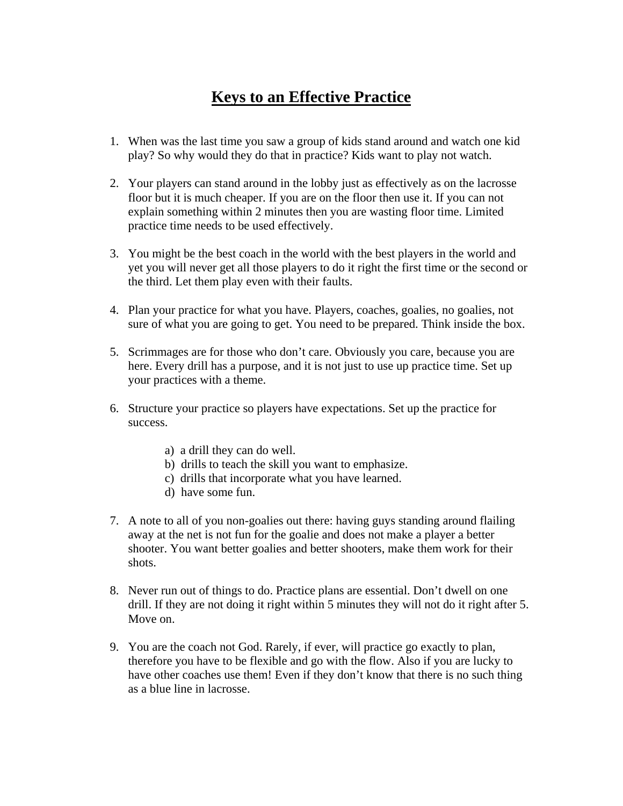## **Keys to an Effective Practice**

- 1. When was the last time you saw a group of kids stand around and watch one kid play? So why would they do that in practice? Kids want to play not watch.
- 2. Your players can stand around in the lobby just as effectively as on the lacrosse floor but it is much cheaper. If you are on the floor then use it. If you can not explain something within 2 minutes then you are wasting floor time. Limited practice time needs to be used effectively.
- 3. You might be the best coach in the world with the best players in the world and yet you will never get all those players to do it right the first time or the second or the third. Let them play even with their faults.
- 4. Plan your practice for what you have. Players, coaches, goalies, no goalies, not sure of what you are going to get. You need to be prepared. Think inside the box.
- 5. Scrimmages are for those who don't care. Obviously you care, because you are here. Every drill has a purpose, and it is not just to use up practice time. Set up your practices with a theme.
- 6. Structure your practice so players have expectations. Set up the practice for success.
	- a) a drill they can do well.
	- b) drills to teach the skill you want to emphasize.
	- c) drills that incorporate what you have learned.
	- d) have some fun.
- 7. A note to all of you non-goalies out there: having guys standing around flailing away at the net is not fun for the goalie and does not make a player a better shooter. You want better goalies and better shooters, make them work for their shots.
- 8. Never run out of things to do. Practice plans are essential. Don't dwell on one drill. If they are not doing it right within 5 minutes they will not do it right after 5. Move on.
- 9. You are the coach not God. Rarely, if ever, will practice go exactly to plan, therefore you have to be flexible and go with the flow. Also if you are lucky to have other coaches use them! Even if they don't know that there is no such thing as a blue line in lacrosse.